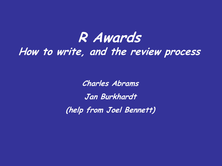## **R Awards How to write, and the review process**

**Charles Abrams**

**Jan Burkhardt**

**(help from Joel Bennett)**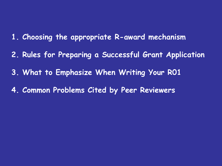- **1. Choosing the appropriate R-award mechanism**
- **2. Rules for Preparing a Successful Grant Application**
- **3. What to Emphasize When Writing Your R01**
- **4. Common Problems Cited by Peer Reviewers**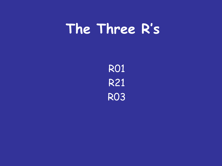# **The Three R's**

R01 R21 R03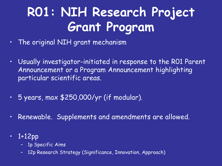# **R01: NIH Research Project Grant Program**

- The original NIH grant mechanism
- Usually investigator-initiated in response to the R01 Parent Announcement or a Program Announcement highlighting particular scientific areas.
- 5 years, max \$250,000/yr (if modular).
- Renewable. Supplements and amendments are allowed.
- 1+12pp
	- 1p Specific Aims
	- 12p Research Strategy (Significance, Innovation, Approach)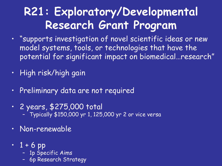## **R21: Exploratory/Developmental Research Grant Program**

- "supports investigation of novel scientific ideas or new model systems, tools, or technologies that have the potential for significant impact on biomedical…research"
- High risk/high gain
- Preliminary data are not required
- 2 years, \$275,000 total – Typically \$150,000 yr 1, 125,000 yr 2 or vice versa
- Non-renewable
- $-1 + 6$  pp
	- 1p Specific Aims
	- 6p Research Strategy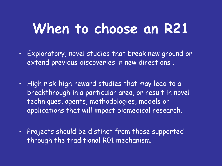# **When to choose an R21**

- Exploratory, novel studies that break new ground or extend previous discoveries in new directions .
- High risk-high reward studies that may lead to a breakthrough in a particular area, or result in novel techniques, agents, methodologies, models or applications that will impact biomedical research.
- Projects should be distinct from those supported through the traditional R01 mechanism.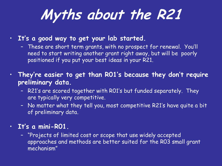# **Myths about the R21**

- **It's a good way to get your lab started.**
	- These are short term grants, with no prospect for renewal. You'll need to start writing another grant right away, but will be poorly positioned if you put your best ideas in your R21.
- **They're easier to get than R01's because they don't require preliminary data.**
	- R21's are scored together with R01's but funded separately. They are typically very competitive.
	- No matter what they tell you, most competitive R21's have quite a bit of preliminary data.

#### • **It's a mini-R01.**

– "Projects of limited cost or scope that use widely accepted approaches and methods are better suited for the R03 small grant mechanism"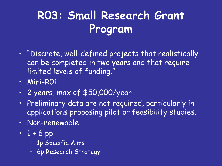## **R03: Small Research Grant Program**

- "Discrete, well-defined projects that realistically can be completed in two years and that require limited levels of funding."
- Mini-R01
- 2 years, max of \$50,000/year
- Preliminary data are not required, particularly in applications proposing pilot or feasibility studies.
- Non-renewable
- $1 + 6$  pp
	- 1p Specific Aims
	- 6p Research Strategy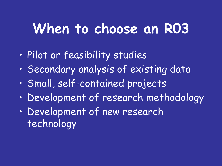# **When to choose an R03**

- Pilot or feasibility studies
- Secondary analysis of existing data
- Small, self-contained projects
- Development of research methodology
- Development of new research technology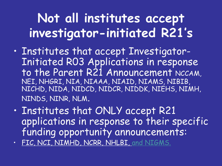# **Not all institutes accept investigator-initiated R21's**

- Institutes that accept Investigator-Initiated R03 Applications in response to the Parent R21 Announcement NCCAM, NEI, NHGRI, NIA, NIAAA, NIAID, NIAMS, NIBIB, NICHD, NIDA, NIDCD, NIDCR, NIDDK, NIEHS, NIMH, NINDS, NINR, NLM.
- Institutes that ONLY accept R21 applications in response to their specific funding opportunity announcements:
- FIC, NCI, NIMHD, NCRR, NHLBI, and NIGMS.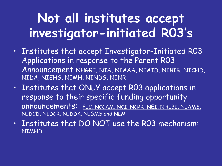# **Not all institutes accept investigator-initiated R03's**

- Institutes that accept Investigator-Initiated R03 Applications in response to the Parent R03 Announcement NHGRI, NIA, NIAAA, NIAID, NIBIB, NICHD, NIDA, NIEHS, NIMH, NINDS, NINR
- Institutes that ONLY accept R03 applications in response to their specific funding opportunity announcements: FIC, NCCAM, NCI, NCRR, NEI, NHLBI, NIAMS, NIDCD, NIDCR, NIDDK, NIGMS and NLM
- Institutes that DO NOT use the R03 mechanism: NIMHD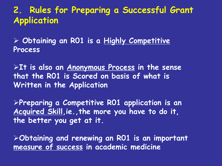### **2. Rules for Preparing a Successful Grant Application**

 **Obtaining an R01 is a Highly Competitive Process**

**It is also an Anonymous Process in the sense that the R01 is Scored on basis of what is Written in the Application** 

**Preparing a Competitive R01 application is an Acquired Skill,ie.,the more you have to do it, the better you get at it.** 

**Obtaining and renewing an R01 is an important measure of success in academic medicine**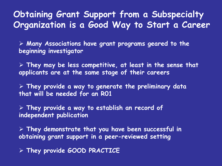### **Obtaining Grant Support from a Subspecialty Organization is a Good Way to Start a Career**

 **Many Associations have grant programs geared to the beginning investigator**

 **They may be less competitive, at least in the sense that applicants are at the same stage of their careers**

 **They provide a way to generate the preliminary data that will be needed for an R01**

 **They provide a way to establish an record of independent publication** 

 **They demonstrate that you have been successful in obtaining grant support in a peer-reviewed setting**

**They provide GOOD PRACTICE**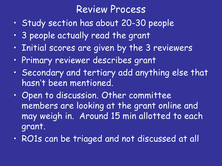### Review Process

- Study section has about 20-30 people
- 3 people actually read the grant
- Initial scores are given by the 3 reviewers
- Primary reviewer describes grant
- Secondary and tertiary add anything else that hasn't been mentioned.
- Open to discussion. Other committee members are looking at the grant online and may weigh in. Around 15 min allotted to each grant.
- RO1s can be triaged and not discussed at all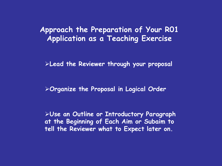#### **Approach the Preparation of Your R01 Application as a Teaching Exercise**

**Lead the Reviewer through your proposal**

**Organize the Proposal in Logical Order**

**Use an Outline or Introductory Paragraph at the Beginning of Each Aim or Subaim to tell the Reviewer what to Expect later on.**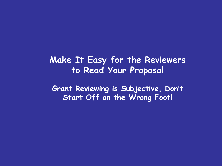### **Make It Easy for the Reviewers to Read Your Proposal**

**Grant Reviewing is Subjective, Don**'**t Start Off on the Wrong Foot!**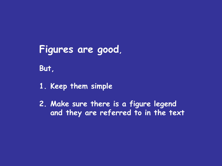## **Figures are good,**

**But,**

- **1. Keep them simple**
- **2. Make sure there is a figure legend and they are referred to in the text**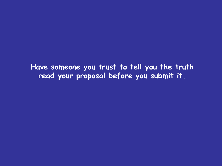**Have someone you trust to tell you the truth read your proposal before you submit it.**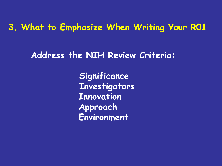### **3. What to Emphasize When Writing Your R01**

**Address the NIH Review Criteria:**

**Significance Investigators Innovation Approach Environment**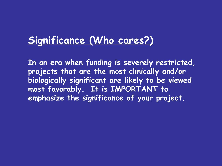## **Significance (Who cares?)**

**In an era when funding is severely restricted, projects that are the most clinically and/or biologically significant are likely to be viewed most favorably. It is IMPORTANT to emphasize the significance of your project.**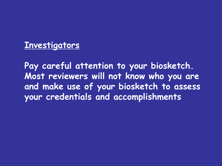#### **Investigators**

**Pay careful attention to your biosketch. Most reviewers will not know who you are and make use of your biosketch to assess your credentials and accomplishments**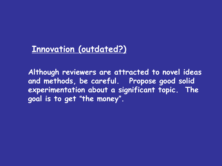## **Innovation (outdated?)**

**Although reviewers are attracted to novel ideas and methods, be careful. Propose good solid experimentation about a significant topic. The goal is to get** "**the money**"**.**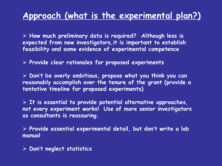## **Approach (what is the experimental plan?)**

 **How much preliminary data is required? Although less is expected from new investigators,it is important to establish feasibility and some evidence of experimental competence** 

**Provide clear rationales for proposed experiments**

 **Don**'**t be overly ambitious, propose what you think you can reasonably accomplish over the tenure of the grant (provide a tentative timeline for proposed experiments)**

 **It is essential to provide potential alternative approaches, not every experiment works! Use of more senior investigators as consultants is reassuring.**

 **Provide essential experimental detail, but don**'**t write a lab manual**

**Don**'**t neglect statistics**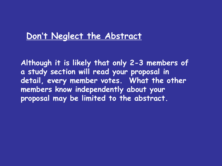### **Don**'**t Neglect the Abstract**

**Although it is likely that only 2-3 members of a study section will read your proposal in detail, every member votes. What the other members know independently about your proposal may be limited to the abstract.**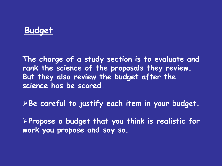### **Budget**

**The charge of a study section is to evaluate and rank the science of the proposals they review. But they also review the budget after the science has be scored.**

**Be careful to justify each item in your budget.**

**Propose a budget that you think is realistic for work you propose and say so.**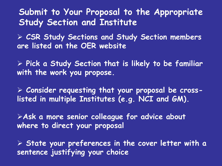**Submit to Your Proposal to the Appropriate Study Section and Institute**

 **CSR Study Sections and Study Section members are listed on the OER website**

 **Pick a Study Section that is likely to be familiar with the work you propose.**

 **Consider requesting that your proposal be crosslisted in multiple Institutes (e.g. NCI and GM).**

**Ask a more senior colleague for advice about where to direct your proposal**

 **State your preferences in the cover letter with a sentence justifying your choice**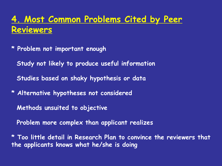## **4. Most Common Problems Cited by Peer Reviewers**

- **\* Problem not important enough** 
	- **Study not likely to produce useful information**
	- **Studies based on shaky hypothesis or data**
- **\* Alternative hypotheses not considered**
	- **Methods unsuited to objective**
	- **Problem more complex than applicant realizes**
- **\* Too little detail in Research Plan to convince the reviewers that the applicants knows what he/she is doing**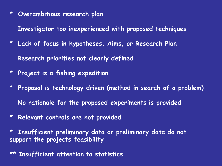**\* Overambitious research plan**

**Investigator too inexperienced with proposed techniques**

- **\* Lack of focus in hypotheses, Aims, or Research Plan Research priorities not clearly defined**
- **\* Project is a fishing expedition**
- **\* Proposal is technology driven (method in search of a problem) No rationale for the proposed experiments is provided**
- **\* Relevant controls are not provided**

**\* Insufficient preliminary data or preliminary data do not support the projects feasibility**

**Insufficient attention to statistics**